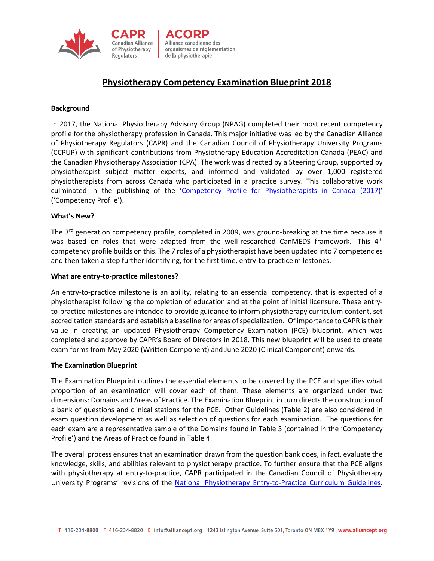

# **Physiotherapy Competency Examination Blueprint 2018**

### **Background**

In 2017, the National Physiotherapy Advisory Group (NPAG) completed their most recent competency profile for the physiotherapy profession in Canada. This major initiative was led by the Canadian Alliance of Physiotherapy Regulators (CAPR) and the Canadian Council of Physiotherapy University Programs (CCPUP) with significant contributions from Physiotherapy Education Accreditation Canada (PEAC) and the Canadian Physiotherapy Association (CPA). The work was directed by a Steering Group, supported by physiotherapist subject matter experts, and informed and validated by over 1,000 registered physiotherapists from across Canada who participated in a practice survey. This collaborative work culminated in the publishing of the ['Competency Profile for Physiotherapists in Canada \(2017\)'](http://npag.ca/PDFs/Joint%20Initiatives/2017%20Competency%20Profile%20for%20PTs%202017%20EN.pdf) ('Competency Profile').

## **What's New?**

The 3<sup>rd</sup> generation competency profile, completed in 2009, was ground-breaking at the time because it was based on roles that were adapted from the well-researched CanMEDS framework. This  $4<sup>th</sup>$ competency profile builds on this. The 7 roles of a physiotherapist have been updated into 7 competencies and then taken a step further identifying, for the first time, entry-to-practice milestones.

### **What are entry-to-practice milestones?**

An entry-to-practice milestone is an ability, relating to an essential competency, that is expected of a physiotherapist following the completion of education and at the point of initial licensure. These entryto-practice milestones are intended to provide guidance to inform physiotherapy curriculum content, set accreditation standards and establish a baseline for areas of specialization. Of importance to CAPR is their value in creating an updated Physiotherapy Competency Examination (PCE) blueprint, which was completed and approve by CAPR's Board of Directors in 2018. This new blueprint will be used to create exam forms from May 2020 (Written Component) and June 2020 (Clinical Component) onwards.

### **The Examination Blueprint**

The Examination Blueprint outlines the essential elements to be covered by the PCE and specifies what proportion of an examination will cover each of them. These elements are organized under two dimensions: Domains and Areas of Practice. The Examination Blueprint in turn directs the construction of a bank of questions and clinical stations for the PCE. Other Guidelines (Table 2) are also considered in exam question development as well as selection of questions for each examination. The questions for each exam are a representative sample of the Domains found in Table 3 (contained in the 'Competency Profile') and the Areas of Practice found in Table 4.

The overall process ensures that an examination drawn from the question bank does, in fact, evaluate the knowledge, skills, and abilities relevant to physiotherapy practice. To further ensure that the PCE aligns with physiotherapy at entry-to-practice, CAPR participated in the Canadian Council of Physiotherapy University Programs' revisions of the National [Physiotherapy Entry-to-Practice](https://www.physiotherapyeducation.ca/jobs_docs/1620912656CCPUP_guidelines2019_final_0623DIGITAL%20(1).pdf) Curriculum Guidelines.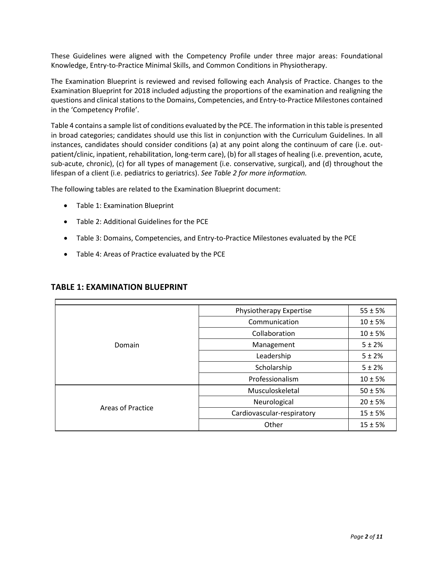These Guidelines were aligned with the Competency Profile under three major areas: Foundational Knowledge, Entry-to-Practice Minimal Skills, and Common Conditions in Physiotherapy.

The Examination Blueprint is reviewed and revised following each Analysis of Practice. Changes to the Examination Blueprint for 2018 included adjusting the proportions of the examination and realigning the questions and clinical stations to the Domains, Competencies, and Entry-to-Practice Milestones contained in the 'Competency Profile'.

Table 4 contains a sample list of conditions evaluated by the PCE. The information in this table is presented in broad categories; candidates should use this list in conjunction with the Curriculum Guidelines. In all instances, candidates should consider conditions (a) at any point along the continuum of care (i.e. outpatient/clinic, inpatient, rehabilitation, long-term care), (b) for all stages of healing (i.e. prevention, acute, sub-acute, chronic), (c) for all types of management (i.e. conservative, surgical), and (d) throughout the lifespan of a client (i.e. pediatrics to geriatrics). *See Table 2 for more information.*

The following tables are related to the Examination Blueprint document:

- Table 1: Examination Blueprint
- Table 2: Additional Guidelines for the PCE
- Table 3: Domains, Competencies, and Entry-to-Practice Milestones evaluated by the PCE
- Table 4: Areas of Practice evaluated by the PCE

| Domain            | Physiotherapy Expertise    | $55 \pm 5%$ |
|-------------------|----------------------------|-------------|
|                   | Communication              | $10 \pm 5%$ |
|                   | Collaboration              | $10 \pm 5%$ |
|                   | Management                 | $5 + 2%$    |
|                   | Leadership                 | 5 ± 2%      |
|                   | Scholarship                | $5 \pm 2%$  |
|                   | Professionalism            | $10 \pm 5%$ |
| Areas of Practice | Musculoskeletal            | $50 \pm 5%$ |
|                   | Neurological               | $20 \pm 5%$ |
|                   | Cardiovascular-respiratory | $15 \pm 5%$ |
|                   | Other                      | $15 \pm 5%$ |

# **TABLE 1: EXAMINATION BLUEPRINT**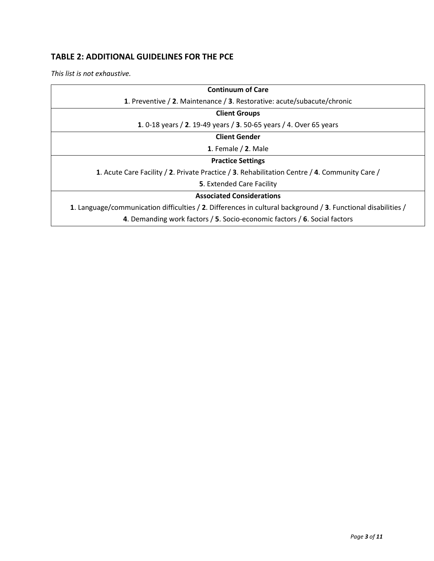# **TABLE 2: ADDITIONAL GUIDELINES FOR THE PCE**

*This list is not exhaustive.*

| <b>Continuum of Care</b>                                                                                      |  |  |
|---------------------------------------------------------------------------------------------------------------|--|--|
| 1. Preventive / 2. Maintenance / 3. Restorative: acute/subacute/chronic                                       |  |  |
| <b>Client Groups</b>                                                                                          |  |  |
| 1. 0-18 years / 2. 19-49 years / 3. 50-65 years / 4. Over 65 years                                            |  |  |
| <b>Client Gender</b>                                                                                          |  |  |
| 1. Female $/$ 2. Male                                                                                         |  |  |
| <b>Practice Settings</b>                                                                                      |  |  |
| 1. Acute Care Facility / 2. Private Practice / 3. Rehabilitation Centre / 4. Community Care /                 |  |  |
| <b>5.</b> Extended Care Facility                                                                              |  |  |
| <b>Associated Considerations</b>                                                                              |  |  |
| 1. Language/communication difficulties / 2. Differences in cultural background / 3. Functional disabilities / |  |  |
| 4. Demanding work factors / 5. Socio-economic factors / 6. Social factors                                     |  |  |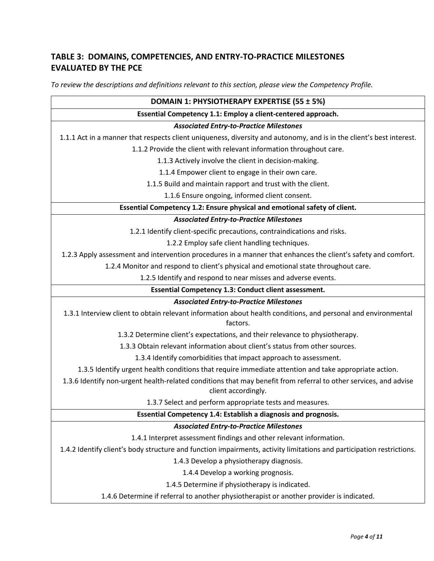# **TABLE 3: DOMAINS, COMPETENCIES, AND ENTRY-TO-PRACTICE MILESTONES EVALUATED BY THE PCE**

*To review the descriptions and definitions relevant to this section, please view the Competency Profile.*

| DOMAIN 1: PHYSIOTHERAPY EXPERTISE (55 ± 5%)                                                                                             |  |  |
|-----------------------------------------------------------------------------------------------------------------------------------------|--|--|
| Essential Competency 1.1: Employ a client-centered approach.                                                                            |  |  |
| <b>Associated Entry-to-Practice Milestones</b>                                                                                          |  |  |
| 1.1.1 Act in a manner that respects client uniqueness, diversity and autonomy, and is in the client's best interest.                    |  |  |
| 1.1.2 Provide the client with relevant information throughout care.                                                                     |  |  |
| 1.1.3 Actively involve the client in decision-making.                                                                                   |  |  |
| 1.1.4 Empower client to engage in their own care.                                                                                       |  |  |
| 1.1.5 Build and maintain rapport and trust with the client.                                                                             |  |  |
| 1.1.6 Ensure ongoing, informed client consent.                                                                                          |  |  |
| Essential Competency 1.2: Ensure physical and emotional safety of client.                                                               |  |  |
| <b>Associated Entry-to-Practice Milestones</b>                                                                                          |  |  |
| 1.2.1 Identify client-specific precautions, contraindications and risks.                                                                |  |  |
| 1.2.2 Employ safe client handling techniques.                                                                                           |  |  |
| 1.2.3 Apply assessment and intervention procedures in a manner that enhances the client's safety and comfort.                           |  |  |
| 1.2.4 Monitor and respond to client's physical and emotional state throughout care.                                                     |  |  |
| 1.2.5 Identify and respond to near misses and adverse events.                                                                           |  |  |
| Essential Competency 1.3: Conduct client assessment.                                                                                    |  |  |
| <b>Associated Entry-to-Practice Milestones</b>                                                                                          |  |  |
| 1.3.1 Interview client to obtain relevant information about health conditions, and personal and environmental<br>factors.               |  |  |
| 1.3.2 Determine client's expectations, and their relevance to physiotherapy.                                                            |  |  |
| 1.3.3 Obtain relevant information about client's status from other sources.                                                             |  |  |
| 1.3.4 Identify comorbidities that impact approach to assessment.                                                                        |  |  |
| 1.3.5 Identify urgent health conditions that require immediate attention and take appropriate action.                                   |  |  |
| 1.3.6 Identify non-urgent health-related conditions that may benefit from referral to other services, and advise<br>client accordingly. |  |  |
| 1.3.7 Select and perform appropriate tests and measures.                                                                                |  |  |
| Essential Competency 1.4: Establish a diagnosis and prognosis.                                                                          |  |  |
| <b>Associated Entry-to-Practice Milestones</b>                                                                                          |  |  |
| 1.4.1 Interpret assessment findings and other relevant information.                                                                     |  |  |
| 1.4.2 Identify client's body structure and function impairments, activity limitations and participation restrictions.                   |  |  |
| 1.4.3 Develop a physiotherapy diagnosis.                                                                                                |  |  |
| 1.4.4 Develop a working prognosis.                                                                                                      |  |  |
| 1.4.5 Determine if physiotherapy is indicated.                                                                                          |  |  |
| 1.4.6 Determine if referral to another physiotherapist or another provider is indicated.                                                |  |  |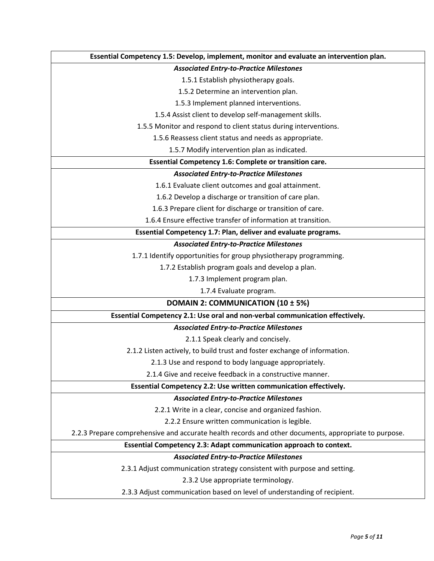| Essential Competency 1.5: Develop, implement, monitor and evaluate an intervention plan.             |  |  |
|------------------------------------------------------------------------------------------------------|--|--|
| <b>Associated Entry-to-Practice Milestones</b>                                                       |  |  |
| 1.5.1 Establish physiotherapy goals.                                                                 |  |  |
| 1.5.2 Determine an intervention plan.                                                                |  |  |
| 1.5.3 Implement planned interventions.                                                               |  |  |
| 1.5.4 Assist client to develop self-management skills.                                               |  |  |
| 1.5.5 Monitor and respond to client status during interventions.                                     |  |  |
| 1.5.6 Reassess client status and needs as appropriate.                                               |  |  |
| 1.5.7 Modify intervention plan as indicated.                                                         |  |  |
| Essential Competency 1.6: Complete or transition care.                                               |  |  |
| <b>Associated Entry-to-Practice Milestones</b>                                                       |  |  |
| 1.6.1 Evaluate client outcomes and goal attainment.                                                  |  |  |
| 1.6.2 Develop a discharge or transition of care plan.                                                |  |  |
| 1.6.3 Prepare client for discharge or transition of care.                                            |  |  |
| 1.6.4 Ensure effective transfer of information at transition.                                        |  |  |
| Essential Competency 1.7: Plan, deliver and evaluate programs.                                       |  |  |
| <b>Associated Entry-to-Practice Milestones</b>                                                       |  |  |
| 1.7.1 Identify opportunities for group physiotherapy programming.                                    |  |  |
| 1.7.2 Establish program goals and develop a plan.                                                    |  |  |
| 1.7.3 Implement program plan.                                                                        |  |  |
| 1.7.4 Evaluate program.                                                                              |  |  |
| DOMAIN 2: COMMUNICATION (10 ± 5%)                                                                    |  |  |
| Essential Competency 2.1: Use oral and non-verbal communication effectively.                         |  |  |
| <b>Associated Entry-to-Practice Milestones</b>                                                       |  |  |
| 2.1.1 Speak clearly and concisely.                                                                   |  |  |
| 2.1.2 Listen actively, to build trust and foster exchange of information.                            |  |  |
| 2.1.3 Use and respond to body language appropriately.                                                |  |  |
| 2.1.4 Give and receive feedback in a constructive manner.                                            |  |  |
| Essential Competency 2.2: Use written communication effectively.                                     |  |  |
| <b>Associated Entry-to-Practice Milestones</b>                                                       |  |  |
| 2.2.1 Write in a clear, concise and organized fashion.                                               |  |  |
| 2.2.2 Ensure written communication is legible.                                                       |  |  |
| 2.2.3 Prepare comprehensive and accurate health records and other documents, appropriate to purpose. |  |  |
| Essential Competency 2.3: Adapt communication approach to context.                                   |  |  |
| <b>Associated Entry-to-Practice Milestones</b>                                                       |  |  |
| 2.3.1 Adjust communication strategy consistent with purpose and setting.                             |  |  |
| 2.3.2 Use appropriate terminology.                                                                   |  |  |
| 2.3.3 Adjust communication based on level of understanding of recipient.                             |  |  |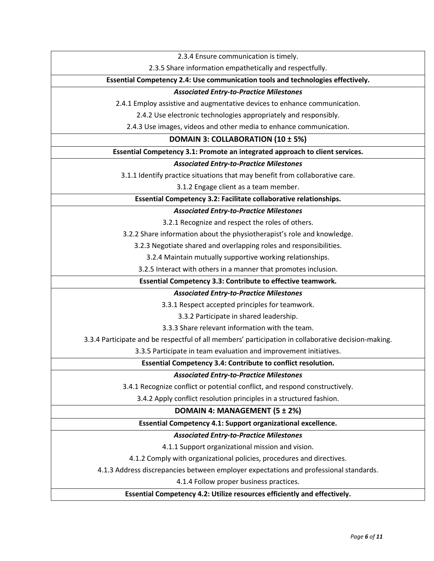2.3.4 Ensure communication is timely.

2.3.5 Share information empathetically and respectfully.

**Essential Competency 2.4: Use communication tools and technologies effectively.**

#### *Associated Entry-to-Practice Milestones*

2.4.1 Employ assistive and augmentative devices to enhance communication.

2.4.2 Use electronic technologies appropriately and responsibly.

2.4.3 Use images, videos and other media to enhance communication.

### **DOMAIN 3: COLLABORATION (10 ± 5%)**

### **Essential Competency 3.1: Promote an integrated approach to client services.**

## *Associated Entry-to-Practice Milestones*

3.1.1 Identify practice situations that may benefit from collaborative care.

3.1.2 Engage client as a team member.

#### **Essential Competency 3.2: Facilitate collaborative relationships.**

#### *Associated Entry-to-Practice Milestones*

3.2.1 Recognize and respect the roles of others.

3.2.2 Share information about the physiotherapist's role and knowledge.

3.2.3 Negotiate shared and overlapping roles and responsibilities.

3.2.4 Maintain mutually supportive working relationships.

3.2.5 Interact with others in a manner that promotes inclusion.

**Essential Competency 3.3: Contribute to effective teamwork.**

### *Associated Entry-to-Practice Milestones*

3.3.1 Respect accepted principles for teamwork.

3.3.2 Participate in shared leadership.

3.3.3 Share relevant information with the team.

3.3.4 Participate and be respectful of all members' participation in collaborative decision-making.

3.3.5 Participate in team evaluation and improvement initiatives.

**Essential Competency 3.4: Contribute to conflict resolution.**

### *Associated Entry-to-Practice Milestones*

3.4.1 Recognize conflict or potential conflict, and respond constructively.

3.4.2 Apply conflict resolution principles in a structured fashion.

### **DOMAIN 4: MANAGEMENT (5 ± 2%)**

### **Essential Competency 4.1: Support organizational excellence.**

### *Associated Entry-to-Practice Milestones*

4.1.1 Support organizational mission and vision.

4.1.2 Comply with organizational policies, procedures and directives.

4.1.3 Address discrepancies between employer expectations and professional standards.

4.1.4 Follow proper business practices.

### **Essential Competency 4.2: Utilize resources efficiently and effectively.**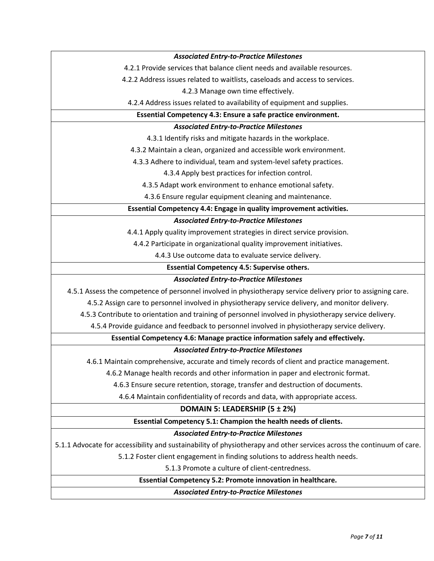| <b>Associated Entry-to-Practice Milestones</b>                                                                        |  |  |
|-----------------------------------------------------------------------------------------------------------------------|--|--|
| 4.2.1 Provide services that balance client needs and available resources.                                             |  |  |
| 4.2.2 Address issues related to waitlists, caseloads and access to services.                                          |  |  |
| 4.2.3 Manage own time effectively.                                                                                    |  |  |
| 4.2.4 Address issues related to availability of equipment and supplies.                                               |  |  |
| Essential Competency 4.3: Ensure a safe practice environment.                                                         |  |  |
| <b>Associated Entry-to-Practice Milestones</b>                                                                        |  |  |
| 4.3.1 Identify risks and mitigate hazards in the workplace.                                                           |  |  |
| 4.3.2 Maintain a clean, organized and accessible work environment.                                                    |  |  |
| 4.3.3 Adhere to individual, team and system-level safety practices.                                                   |  |  |
| 4.3.4 Apply best practices for infection control.                                                                     |  |  |
| 4.3.5 Adapt work environment to enhance emotional safety.                                                             |  |  |
| 4.3.6 Ensure regular equipment cleaning and maintenance.                                                              |  |  |
| Essential Competency 4.4: Engage in quality improvement activities.                                                   |  |  |
| <b>Associated Entry-to-Practice Milestones</b>                                                                        |  |  |
| 4.4.1 Apply quality improvement strategies in direct service provision.                                               |  |  |
| 4.4.2 Participate in organizational quality improvement initiatives.                                                  |  |  |
| 4.4.3 Use outcome data to evaluate service delivery.                                                                  |  |  |
| <b>Essential Competency 4.5: Supervise others.</b>                                                                    |  |  |
| <b>Associated Entry-to-Practice Milestones</b>                                                                        |  |  |
| 4.5.1 Assess the competence of personnel involved in physiotherapy service delivery prior to assigning care.          |  |  |
| 4.5.2 Assign care to personnel involved in physiotherapy service delivery, and monitor delivery.                      |  |  |
| 4.5.3 Contribute to orientation and training of personnel involved in physiotherapy service delivery.                 |  |  |
| 4.5.4 Provide guidance and feedback to personnel involved in physiotherapy service delivery.                          |  |  |
| Essential Competency 4.6: Manage practice information safely and effectively.                                         |  |  |
| <b>Associated Entry-to-Practice Milestones</b>                                                                        |  |  |
| 4.6.1 Maintain comprehensive, accurate and timely records of client and practice management.                          |  |  |
| 4.6.2 Manage health records and other information in paper and electronic format.                                     |  |  |
| 4.6.3 Ensure secure retention, storage, transfer and destruction of documents.                                        |  |  |
| 4.6.4 Maintain confidentiality of records and data, with appropriate access.                                          |  |  |
| DOMAIN 5: LEADERSHIP (5 ± 2%)                                                                                         |  |  |
| Essential Competency 5.1: Champion the health needs of clients.                                                       |  |  |
| <b>Associated Entry-to-Practice Milestones</b>                                                                        |  |  |
| 5.1.1 Advocate for accessibility and sustainability of physiotherapy and other services across the continuum of care. |  |  |
| 5.1.2 Foster client engagement in finding solutions to address health needs.                                          |  |  |
| 5.1.3 Promote a culture of client-centredness.                                                                        |  |  |
| Essential Competency 5.2: Promote innovation in healthcare.                                                           |  |  |
| <b>Associated Entry-to-Practice Milestones</b>                                                                        |  |  |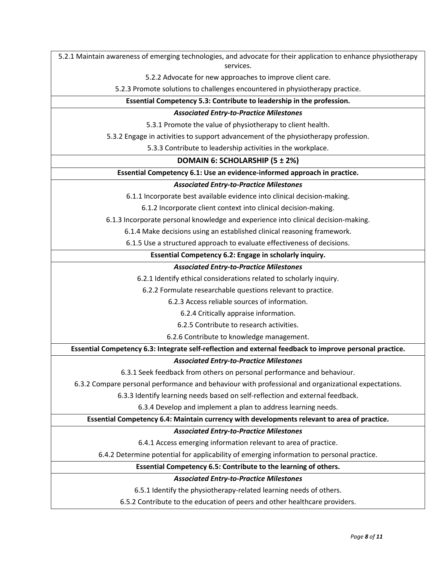5.2.1 Maintain awareness of emerging technologies, and advocate for their application to enhance physiotherapy services.

5.2.2 Advocate for new approaches to improve client care.

5.2.3 Promote solutions to challenges encountered in physiotherapy practice.

**Essential Competency 5.3: Contribute to leadership in the profession.**

# *Associated Entry-to-Practice Milestones*

5.3.1 Promote the value of physiotherapy to client health.

5.3.2 Engage in activities to support advancement of the physiotherapy profession.

5.3.3 Contribute to leadership activities in the workplace.

# **DOMAIN 6: SCHOLARSHIP (5 ± 2%)**

### **Essential Competency 6.1: Use an evidence-informed approach in practice.**

## *Associated Entry-to-Practice Milestones*

6.1.1 Incorporate best available evidence into clinical decision-making.

6.1.2 Incorporate client context into clinical decision-making.

6.1.3 Incorporate personal knowledge and experience into clinical decision-making.

6.1.4 Make decisions using an established clinical reasoning framework.

6.1.5 Use a structured approach to evaluate effectiveness of decisions.

## **Essential Competency 6.2: Engage in scholarly inquiry.**

# *Associated Entry-to-Practice Milestones*

6.2.1 Identify ethical considerations related to scholarly inquiry.

6.2.2 Formulate researchable questions relevant to practice.

6.2.3 Access reliable sources of information.

6.2.4 Critically appraise information.

6.2.5 Contribute to research activities.

6.2.6 Contribute to knowledge management.

# **Essential Competency 6.3: Integrate self-reflection and external feedback to improve personal practice.**

# *Associated Entry-to-Practice Milestones*

6.3.1 Seek feedback from others on personal performance and behaviour.

6.3.2 Compare personal performance and behaviour with professional and organizational expectations.

6.3.3 Identify learning needs based on self-reflection and external feedback.

6.3.4 Develop and implement a plan to address learning needs.

# **Essential Competency 6.4: Maintain currency with developments relevant to area of practice.**

# *Associated Entry-to-Practice Milestones*

6.4.1 Access emerging information relevant to area of practice.

6.4.2 Determine potential for applicability of emerging information to personal practice.

# **Essential Competency 6.5: Contribute to the learning of others.**

## *Associated Entry-to-Practice Milestones*

6.5.1 Identify the physiotherapy-related learning needs of others.

6.5.2 Contribute to the education of peers and other healthcare providers.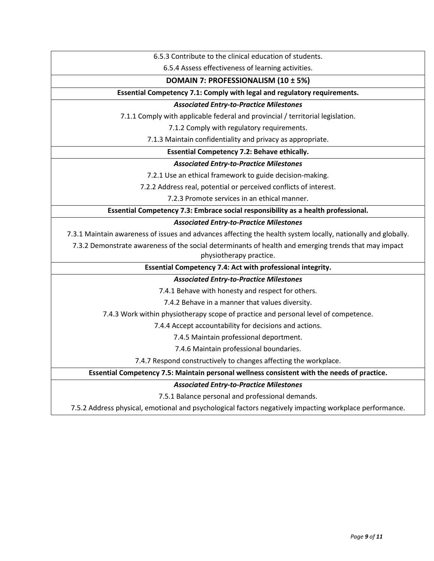6.5.3 Contribute to the clinical education of students.

6.5.4 Assess effectiveness of learning activities.

### **DOMAIN 7: PROFESSIONALISM (10 ± 5%)**

## **Essential Competency 7.1: Comply with legal and regulatory requirements.**

# *Associated Entry-to-Practice Milestones*

7.1.1 Comply with applicable federal and provincial / territorial legislation.

7.1.2 Comply with regulatory requirements.

7.1.3 Maintain confidentiality and privacy as appropriate.

## **Essential Competency 7.2: Behave ethically.**

## *Associated Entry-to-Practice Milestones*

7.2.1 Use an ethical framework to guide decision-making.

7.2.2 Address real, potential or perceived conflicts of interest.

7.2.3 Promote services in an ethical manner.

**Essential Competency 7.3: Embrace social responsibility as a health professional.**

## *Associated Entry-to-Practice Milestones*

7.3.1 Maintain awareness of issues and advances affecting the health system locally, nationally and globally.

7.3.2 Demonstrate awareness of the social determinants of health and emerging trends that may impact physiotherapy practice.

## **Essential Competency 7.4: Act with professional integrity.**

## *Associated Entry-to-Practice Milestones*

7.4.1 Behave with honesty and respect for others.

7.4.2 Behave in a manner that values diversity.

7.4.3 Work within physiotherapy scope of practice and personal level of competence.

7.4.4 Accept accountability for decisions and actions.

7.4.5 Maintain professional deportment.

7.4.6 Maintain professional boundaries.

7.4.7 Respond constructively to changes affecting the workplace.

**Essential Competency 7.5: Maintain personal wellness consistent with the needs of practice.**

### *Associated Entry-to-Practice Milestones*

7.5.1 Balance personal and professional demands.

7.5.2 Address physical, emotional and psychological factors negatively impacting workplace performance.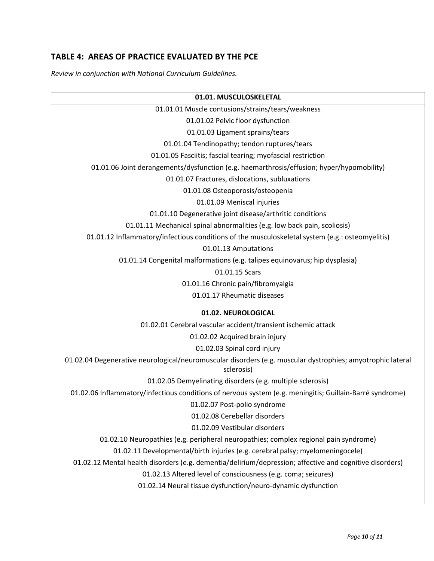# **TABLE 4: AREAS OF PRACTICE EVALUATED BY THE PCE**

*Review in conjunction with National Curriculum Guidelines.*

| 01.01. MUSCULOSKELETAL                                                                                                   |  |  |
|--------------------------------------------------------------------------------------------------------------------------|--|--|
| 01.01.01 Muscle contusions/strains/tears/weakness                                                                        |  |  |
| 01.01.02 Pelvic floor dysfunction                                                                                        |  |  |
| 01.01.03 Ligament sprains/tears                                                                                          |  |  |
| 01.01.04 Tendinopathy; tendon ruptures/tears                                                                             |  |  |
| 01.01.05 Fasciitis; fascial tearing; myofascial restriction                                                              |  |  |
| 01.01.06 Joint derangements/dysfunction (e.g. haemarthrosis/effusion; hyper/hypomobility)                                |  |  |
| 01.01.07 Fractures, dislocations, subluxations                                                                           |  |  |
| 01.01.08 Osteoporosis/osteopenia                                                                                         |  |  |
| 01.01.09 Meniscal injuries                                                                                               |  |  |
| 01.01.10 Degenerative joint disease/arthritic conditions                                                                 |  |  |
| 01.01.11 Mechanical spinal abnormalities (e.g. low back pain, scoliosis)                                                 |  |  |
| 01.01.12 Inflammatory/infectious conditions of the musculoskeletal system (e.g.: osteomyelitis)                          |  |  |
| 01.01.13 Amputations                                                                                                     |  |  |
| 01.01.14 Congenital malformations (e.g. talipes equinovarus; hip dysplasia)                                              |  |  |
| 01.01.15 Scars                                                                                                           |  |  |
| 01.01.16 Chronic pain/fibromyalgia                                                                                       |  |  |
| 01.01.17 Rheumatic diseases                                                                                              |  |  |
| 01.02. NEUROLOGICAL                                                                                                      |  |  |
| 01.02.01 Cerebral vascular accident/transient ischemic attack                                                            |  |  |
| 01.02.02 Acquired brain injury                                                                                           |  |  |
| 01.02.03 Spinal cord injury                                                                                              |  |  |
| 01.02.04 Degenerative neurological/neuromuscular disorders (e.g. muscular dystrophies; amyotrophic lateral<br>sclerosis) |  |  |
| 01.02.05 Demyelinating disorders (e.g. multiple sclerosis)                                                               |  |  |
| 01.02.06 Inflammatory/infectious conditions of nervous system (e.g. meningitis; Guillain-Barré syndrome)                 |  |  |
| 01.02.07 Post-polio syndrome                                                                                             |  |  |
| 01.02.08 Cerebellar disorders                                                                                            |  |  |
| 01.02.09 Vestibular disorders                                                                                            |  |  |
| 01.02.10 Neuropathies (e.g. peripheral neuropathies; complex regional pain syndrome)                                     |  |  |
| 01.02.11 Developmental/birth injuries (e.g. cerebral palsy; myelomeningocele)                                            |  |  |
| 01.02.12 Mental health disorders (e.g. dementia/delirium/depression; affective and cognitive disorders)                  |  |  |
| 01.02.13 Altered level of consciousness (e.g. coma; seizures)                                                            |  |  |
| 01.02.14 Neural tissue dysfunction/neuro-dynamic dysfunction                                                             |  |  |
|                                                                                                                          |  |  |